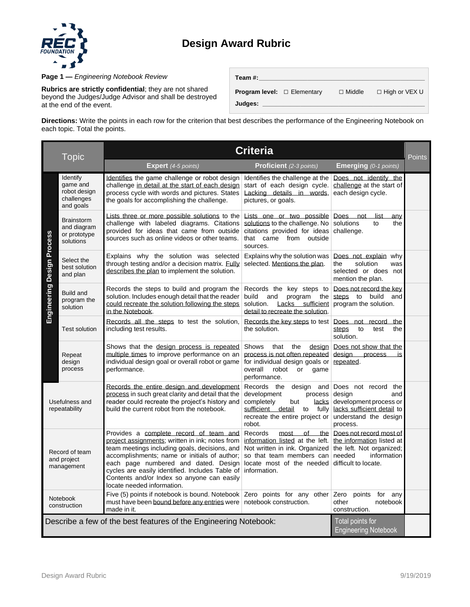## **Design Award Rubric**



**Page 1 —** *Engineering Notebook Review* 

**Rubrics are strictly confidential**; they are not shared beyond the Judges/Judge Advisor and shall be destroyed at the end of the event.

| Team #:                                 |               |                      |
|-----------------------------------------|---------------|----------------------|
| <b>Program level:</b> $\Box$ Elementary | $\Box$ Middle | $\Box$ High or VEX U |
| Judges:                                 |               |                      |

**Directions:** Write the points in each row for the criterion that best describes the performance of the Engineering Notebook on each topic. Total the points.

| Topic                                                                                                               |                                                                 | <b>Criteria</b>                                                                                                                                                                                                                                                                                                                                                   |                                                                                                                                                                           |                                                                                                                                   |               |
|---------------------------------------------------------------------------------------------------------------------|-----------------------------------------------------------------|-------------------------------------------------------------------------------------------------------------------------------------------------------------------------------------------------------------------------------------------------------------------------------------------------------------------------------------------------------------------|---------------------------------------------------------------------------------------------------------------------------------------------------------------------------|-----------------------------------------------------------------------------------------------------------------------------------|---------------|
|                                                                                                                     |                                                                 | Expert (4-5 points)                                                                                                                                                                                                                                                                                                                                               | <b>Proficient</b> (2-3 points)                                                                                                                                            | <b>Emerging</b> (0-1 points)                                                                                                      | <b>Points</b> |
| Engineering Design Process                                                                                          | Identify<br>game and<br>robot design<br>challenges<br>and goals | Identifies the game challenge or robot design<br>challenge in detail at the start of each design<br>process cycle with words and pictures. States<br>the goals for accomplishing the challenge.                                                                                                                                                                   | Identifies the challenge at the<br>start of each design cycle.<br>Lacking details in words,<br>pictures, or goals.                                                        | Does not identify the<br>challenge at the start of<br>each design cycle.                                                          |               |
|                                                                                                                     | <b>Brainstorm</b><br>and diagram<br>or prototype<br>solutions   | Lists three or more possible solutions to the<br>challenge with labeled diagrams. Citations<br>provided for ideas that came from outside<br>sources such as online videos or other teams.                                                                                                                                                                         | Lists one or two possible<br>solutions to the challenge. No<br>citations provided for ideas<br>that came from outside<br>sources.                                         | Does not<br>list<br>anv<br>solutions<br>to<br>the<br>challenge.                                                                   |               |
|                                                                                                                     | Select the<br>best solution<br>and plan                         | Explains why the solution was selected<br>through testing and/or a decision matrix. Eully<br>describes the plan to implement the solution.                                                                                                                                                                                                                        | Explains why the solution was<br>selected. Mentions the plan.                                                                                                             | Does not explain why<br>solution<br>the<br>was<br>selected or does not<br>mention the plan.                                       |               |
|                                                                                                                     | <b>Build and</b><br>program the<br>solution                     | Records the steps to build and program the<br>solution. Includes enough detail that the reader<br>could recreate the solution following the steps<br>in the Notebook.                                                                                                                                                                                             | Records the key steps to<br>build<br>and<br>program<br>the<br>$Lacks$ sufficient<br>solution.<br>detail to recreate the solution.                                         | Does not record the key<br>steps to build and<br>program the solution.                                                            |               |
|                                                                                                                     | Test solution                                                   | Records all the steps to test the solution,<br>including test results.                                                                                                                                                                                                                                                                                            | Records the key steps to test<br>the solution.                                                                                                                            | Does not record the<br>steps<br>to<br>test<br>the<br>solution.                                                                    |               |
|                                                                                                                     | Repeat<br>design<br>process                                     | Shows that the design process is repeated<br>multiple times to improve performance on an<br>individual design goal or overall robot or game<br>performance.                                                                                                                                                                                                       | that the<br>Shows<br>design<br>process is not often repeated<br>for individual design goals or repeated.<br>overall<br>robot<br>or<br>game<br>performance.                | Does not show that the<br>desian process<br>is                                                                                    |               |
| Usefulness and<br>repeatability                                                                                     |                                                                 | Records the entire design and development<br>process in such great clarity and detail that the<br>reader could recreate the project's history and<br>build the current robot from the notebook.                                                                                                                                                                   | Records the<br>design and<br>development<br>process<br>completely<br>but<br>lacks<br>sufficient detail to<br>fully<br>recreate the entire project or<br>robot.            | Does not record the<br>design<br>and<br>development process or<br>lacks sufficient detail to<br>understand the design<br>process. |               |
| Record of team<br>and project<br>management                                                                         |                                                                 | Provides a complete record of team and<br>project assignments; written in ink; notes from<br>team meetings including goals, decisions, and<br>accomplishments; name or initials of author;<br>each page numbered and dated. Design<br>cycles are easily identified. Includes Table of<br>Contents and/or Index so anyone can easily<br>locate needed information. | Records<br>of<br>the<br>most<br>information listed at the left.<br>Not written in ink. Organized<br>so that team members can<br>locate most of the needed<br>information. | Does not record most of<br>the information listed at<br>the left. Not organized;<br>information<br>needed<br>difficult to locate. |               |
|                                                                                                                     | Notebook<br>construction                                        | Five (5) points if notebook is bound. Notebook<br>must have been bound before any entries were   notebook construction.<br>made in it.                                                                                                                                                                                                                            | Zero points for any other $Zero$                                                                                                                                          | points<br>for any<br>notebook<br>other<br>construction.                                                                           |               |
| Describe a few of the best features of the Engineering Notebook:<br>Total points for<br><b>Engineering Notebook</b> |                                                                 |                                                                                                                                                                                                                                                                                                                                                                   |                                                                                                                                                                           |                                                                                                                                   |               |